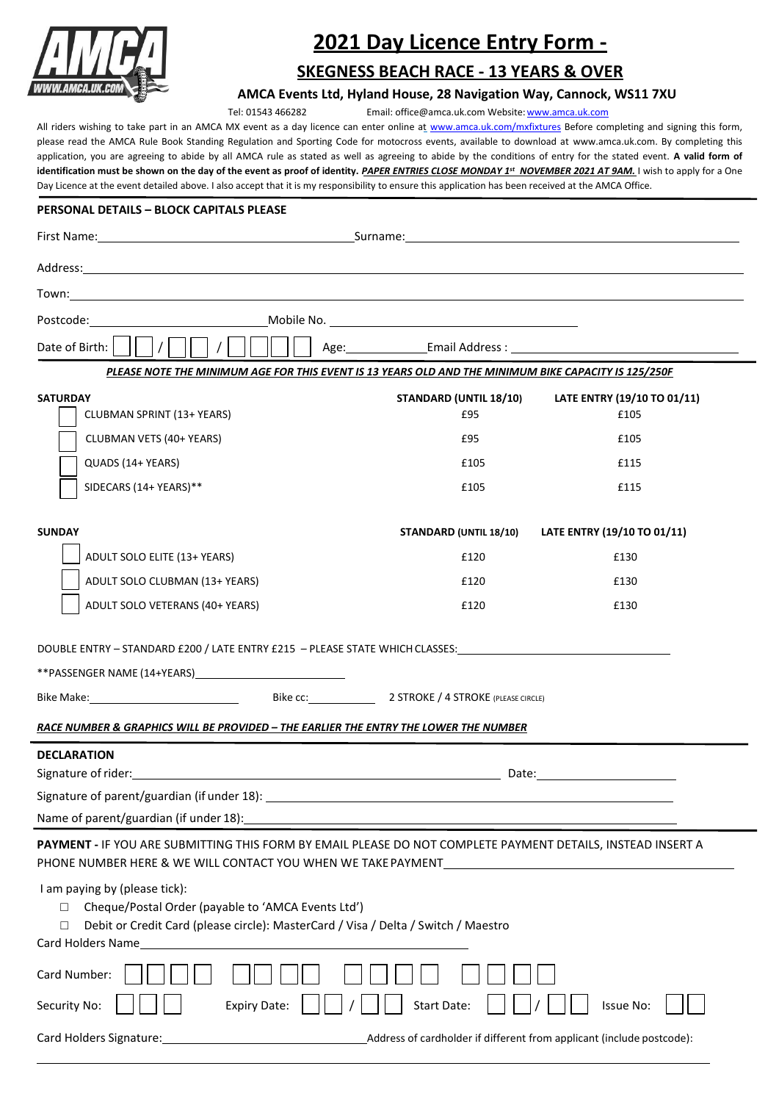

# **2021 Day Licence Entry Form -**

## **SKEGNESS BEACH RACE - 13 YEARS & OVER**

**AMCA Events Ltd, Hyland House, 28 Navigation Way, Cannock, WS11 7XU**

Tel: 01543 466282 Email[: office@amca.uk.com](mailto:office@amca.uk.com) Website: www.amca.uk.com

All riders wishing to take part in an AMCA MX event as a day licence can enter online at [www.amca.uk.com/mxfixtures](http://www.amca.uk.com/mxfixtures) Before completing and signing this form, please read the AMCA Rule Book Standing Regulation and Sporting Code for motocross events, available to download at [www.amca.uk.com.](http://www.amca.uk.com/) By completing this application, you are agreeing to abide by all AMCA rule as stated as well as agreeing to abide by the conditions of entry for the stated event. **A valid form of identification must be shown on the day of the event as proof of identity.** *PAPER ENTRIES CLOSE MONDAY 1 st NOVEMBER 2021 AT 9AM.* I wish to apply for a One Day Licence at the event detailed above. I also accept that it is my responsibility to ensure this application has been received at the AMCA Office.

## **PERSONAL DETAILS – BLOCK CAPITALS PLEASE**

| Date of Birth:<br>Age: Email Address : National Age: National Address : National Age of the Contract of the Contract of the Contract of the Contract of the Contract of the Contract of the Contract of the Contract of the Contract of the Cont<br>PLEASE NOTE THE MINIMUM AGE FOR THIS EVENT IS 13 YEARS OLD AND THE MINIMUM BIKE CAPACITY IS 125/250F<br><b>SATURDAY</b><br>STANDARD (UNTIL 18/10)<br>LATE ENTRY (19/10 TO 01/11)<br><b>CLUBMAN SPRINT (13+ YEARS)</b><br>£95<br>£105<br>CLUBMAN VETS (40+ YEARS)<br>£95<br>£105 |
|-------------------------------------------------------------------------------------------------------------------------------------------------------------------------------------------------------------------------------------------------------------------------------------------------------------------------------------------------------------------------------------------------------------------------------------------------------------------------------------------------------------------------------------|
|                                                                                                                                                                                                                                                                                                                                                                                                                                                                                                                                     |
|                                                                                                                                                                                                                                                                                                                                                                                                                                                                                                                                     |
|                                                                                                                                                                                                                                                                                                                                                                                                                                                                                                                                     |
|                                                                                                                                                                                                                                                                                                                                                                                                                                                                                                                                     |
|                                                                                                                                                                                                                                                                                                                                                                                                                                                                                                                                     |
|                                                                                                                                                                                                                                                                                                                                                                                                                                                                                                                                     |
|                                                                                                                                                                                                                                                                                                                                                                                                                                                                                                                                     |
| QUADS (14+ YEARS)<br>£105<br>£115                                                                                                                                                                                                                                                                                                                                                                                                                                                                                                   |
| SIDECARS (14+ YEARS)**<br>£105<br>£115                                                                                                                                                                                                                                                                                                                                                                                                                                                                                              |
| <b>SUNDAY</b><br>STANDARD (UNTIL 18/10)<br>LATE ENTRY (19/10 TO 01/11)                                                                                                                                                                                                                                                                                                                                                                                                                                                              |
| ADULT SOLO ELITE (13+ YEARS)<br>£120<br>£130                                                                                                                                                                                                                                                                                                                                                                                                                                                                                        |
| ADULT SOLO CLUBMAN (13+ YEARS)<br>£120<br>£130                                                                                                                                                                                                                                                                                                                                                                                                                                                                                      |
| ADULT SOLO VETERANS (40+ YEARS)<br>£120<br>£130                                                                                                                                                                                                                                                                                                                                                                                                                                                                                     |
| DOUBLE ENTRY - STANDARD £200 / LATE ENTRY £215 - PLEASE STATE WHICH CLASSES:________________________<br>**PASSENGER NAME (14+YEARS) MARIE (140)<br>Bike Make: Bike CC: 2 STROKE / 4 STROKE (PLEASE CIRCLE)                                                                                                                                                                                                                                                                                                                          |
| RACE NUMBER & GRAPHICS WILL BE PROVIDED - THE EARLIER THE ENTRY THE LOWER THE NUMBER                                                                                                                                                                                                                                                                                                                                                                                                                                                |
| <b>DECLARATION</b><br>Name of parent/guardian (if under 18):                                                                                                                                                                                                                                                                                                                                                                                                                                                                        |
| PAYMENT - IF YOU ARE SUBMITTING THIS FORM BY EMAIL PLEASE DO NOT COMPLETE PAYMENT DETAILS, INSTEAD INSERT A<br>PHONE NUMBER HERE & WE WILL CONTACT YOU WHEN WE TAKE PAYMENT<br>the control of the control of the control of the control of the control of the control of                                                                                                                                                                                                                                                            |
| I am paying by (please tick):<br>Cheque/Postal Order (payable to 'AMCA Events Ltd')<br>П<br>Debit or Credit Card (please circle): MasterCard / Visa / Delta / Switch / Maestro<br>$\Box$<br>Card Holders Name                                                                                                                                                                                                                                                                                                                       |
| Card Number:<br><b>Start Date:</b><br><b>Issue No:</b>                                                                                                                                                                                                                                                                                                                                                                                                                                                                              |
| Security No:<br><b>Expiry Date:</b><br>Card Holders Signature:<br>Address of cardholder if different from applicant (include postcode):                                                                                                                                                                                                                                                                                                                                                                                             |